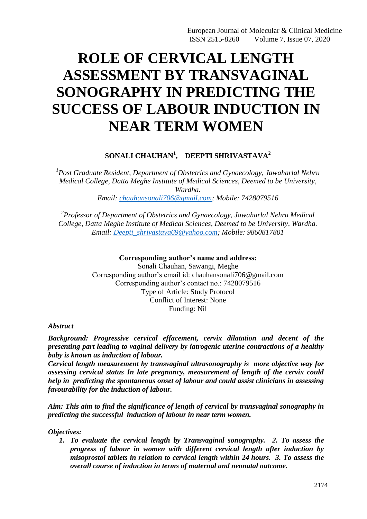# **ROLE OF CERVICAL LENGTH ASSESSMENT BY TRANSVAGINAL SONOGRAPHY IN PREDICTING THE SUCCESS OF LABOUR INDUCTION IN NEAR TERM WOMEN**

## **SONALI CHAUHAN<sup>1</sup> , DEEPTI SHRIVASTAVA<sup>2</sup>**

*1 Post Graduate Resident, Department of Obstetrics and Gynaecology, Jawaharlal Nehru Medical College, Datta Meghe Institute of Medical Sciences, Deemed to be University, Wardha. Email: [chauhansonali706@gmail.com;](mailto:chauhansonali706@gmail.com) Mobile: 7428079516*

*2 Professor of Department of Obstetrics and Gynaecology, Jawaharlal Nehru Medical College, Datta Meghe Institute of Medical Sciences, Deemed to be University, Wardha. Email: [Deepti\\_shrivastava69@yahoo.com;](mailto:Deepti_shrivastava69@yahoo.com) Mobile: 9860817801*

### **Corresponding author's name and address:**

Sonali Chauhan, Sawangi, Meghe Corresponding author's email id: chauhansonali706@gmail.com Corresponding author's contact no.: 7428079516 Type of Article: Study Protocol Conflict of Interest: None Funding: Nil

*Abstract*

*Background: Progressive cervical effacement, cervix dilatation and decent of the presenting part leading to vaginal delivery by iatrogenic uterine contractions of a healthy baby is known as induction of labour.*

*Cervical length measurement by transvaginal ultrasonography is more objective way for assessing cervical status In late pregnancy, measurement of length of the cervix could help in predicting the spontaneous onset of labour and could assist clinicians in assessing favourability for the induction of labour.*

*Aim: This aim to find the significance of length of cervical by transvaginal sonography in predicting the successful induction of labour in near term women.*

*Objectives:*

*1. To evaluate the cervical length by Transvaginal sonography. 2. To assess the progress of labour in women with different cervical length after induction by misoprostol tablets in relation to cervical length within 24 hours. 3. To assess the overall course of induction in terms of maternal and neonatal outcome.*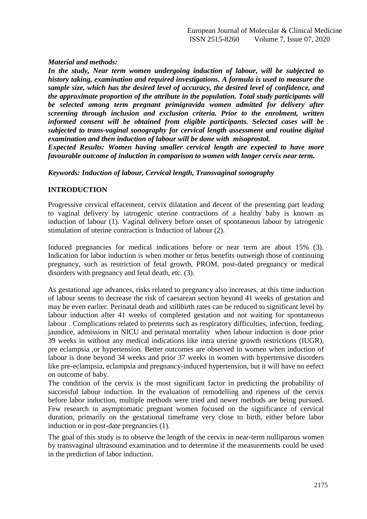*Material and methods:*

*In the study, Near term women undergoing induction of labour, will be subjected to history taking, examination and required investigations. A formula is used to measure the sample size, which has the desired level of accuracy, the desired level of confidence, and the approximate proportion of the attribute in the population. Total study participants will be selected among term pregnant primigravida women admitted for delivery after screening through inclusion and exclusion criteria. Prior to the enrolment, written informed consent will be obtained from eligible participants. Selected cases will be subjected to trans-vaginal sonography for cervical length assessment and routine digital examination and then induction of labour will be done with misoprostol.*

*Expected Results: Women having smaller cervical length are expected to have more favourable outcome of induction in comparison to women with longer cervix near term.*

*Keywords: Induction of labour, Cervical length, Transvaginal sonography*

## **INTRODUCTION**

Progressive cervical effacement, cervix dilatation and decent of the presenting part leading to vaginal delivery by iatrogenic uterine contractions of a healthy baby is known as induction of labour (1). Vaginal delivery before onset of spontaneous labour by iatrogenic stimulation of uterine contraction is Induction of labour (2).

Induced pregnancies for medical indications before or near term are about 15% (3). Indication for labor induction is when mother or fetus benefits outweigh those of continuing pregnancy, such as restriction of fetal growth, PROM, post-dated pregnancy or medical disorders with pregnancy and fetal death, etc. (3).

As gestational age advances, risks related to pregnancy also increases, at this time induction of labour seems to decrease the risk of caesarean section beyond 41 weeks of gestation and may be even earlier. Perinatal death and stillbirth rates can be reduced to significant level by labour induction after 41 weeks of completed gestation and not waiting for spontaneous labour . Complications related to preterms such as respiratory difficulties, infection, feeding, jaundice, admissions in NICU and perinatal mortality when labour induction is done prior 39 weeks in without any medical indications like intra uterine growth restrictions (IUGR), pre eclampsia ,or hypertension. Better outcomes are observed in women when induction of labour is done beyond 34 weeks and prior 37 weeks in women with hypertensive disorders like pre-eclampsia, eclampsia and pregnancy-induced hypertension, but it will have no eefect on outcome of baby.

The condition of the cervix is the most significant factor in predicting the probability of successful labour induction. In the evaluation of remodelling and ripeness of the cervix before labor induction, multiple methods were tried and newer methods are being pursued. Few research in asymptomatic pregnant women focused on the significance of cervical duration, primarily on the gestational timeframe very close to birth, either before labor induction or in post-date pregnancies (1).

The goal of this study is to observe the length of the cervix in near-term nulliparous women by transvaginal ultrasound examination and to determine if the measurements could be used in the prediction of labor induction.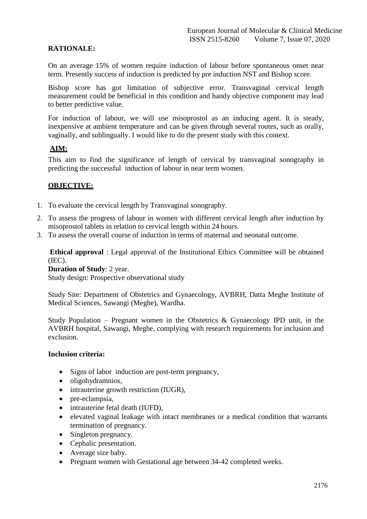## **RATIONALE:**

On an average 15% of women require induction of labour before spontaneous onset near term. Presently success of induction is predicted by pre induction NST and Bishop score.

Bishop score has got limitation of subjective error. Transvaginal cervical length measurement could be beneficial in this condition and handy objective component may lead to better predictive value.

For induction of labour, we will use misoprostol as an inducing agent. It is steady, inexpensive at ambient temperature and can be given through several routes, such as orally, vaginally, and sublingually. I would like to do the present study with this context.

## **AIM:**

This aim to find the significance of length of cervical by transvaginal sonography in predicting the successful induction of labour in near term women.

#### **OBJECTIVE:**

- 1. To evaluate the cervical length by Transvaginal sonography.
- 2. To assess the progress of labour in women with different cervical length after induction by misoprostol tablets in relation to cervical length within 24 hours.
- 3. To assess the overall course of induction in terms of maternal and neonatal outcome.

**Ethical approval** : Legal approval of the Institutional Ethics Committee will be obtained (IEC).

**Duration of Study**: 2 year.

Study design: Prospective observational study

Study Site: Department of Obstetrics and Gynaecology, AVBRH, Datta Meghe Institute of Medical Sciences, Sawangi (Meghe), Wardha.

Study Population – Pregnant women in the Obstetrics  $\&$  Gynaecology IPD unit, in the AVBRH hospital, Sawangi, Meghe, complying with research requirements for inclusion and exclusion.

#### **Inclusion criteria:**

- Signs of labor induction are post-term pregnancy,
- oligohydramnios,
- intrauterine growth restriction (IUGR),
- pre-eclampsia,
- intrauterine fetal death (IUFD),
- elevated vaginal leakage with intact membranes or a medical condition that warrants termination of pregnancy.
- Singleton pregnancy.
- Cephalic presentation.
- Average size baby.
- Pregnant women with Gestational age between 34-42 completed weeks.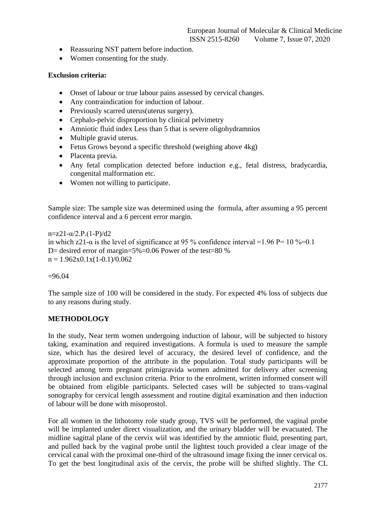- Reassuring NST pattern before induction.
- Women consenting for the study.

## **Exclusion criteria:**

- Onset of labour or true labour pains assessed by cervical changes.
- Any contraindication for induction of labour.
- Previously scarred uterus (uterus surgery).
- Cephalo-pelvic disproportion by clinical pelvimetry
- Amniotic fluid index Less than 5 that is severe oligohydramnios
- Multiple gravid uterus.
- Fetus Grows beyond a specific threshold (weighing above  $4kg$ )
- Placenta previa.
- Any fetal complication detected before induction e.g., fetal distress, bradycardia, congenital malformation etc.
- Women not willing to participate.

Sample size: The sample size was determined using the formula, after assuming a 95 percent confidence interval and a 6 percent error margin.

 $n=z21-\alpha/2.P.(1-P)/d2$ in which z21- $\alpha$  is the level of significance at 95 % confidence interval =1.96 P= 10 %=0.1 D= desired error of margin=5%=0.06 Power of the test=80 %  $n = 1.962x0.1x(1-0.1)/0.062$ 

 $=96.04$ 

The sample size of 100 will be considered in the study. For expected 4% loss of subjects due to any reasons during study.

## **METHODOLOGY**

In the study, Near term women undergoing induction of labour, will be subjected to history taking, examination and required investigations. A formula is used to measure the sample size, which has the desired level of accuracy, the desired level of confidence, and the approximate proportion of the attribute in the population. Total study participants will be selected among term pregnant primigravida women admitted for delivery after screening through inclusion and exclusion criteria. Prior to the enrolment, written informed consent will be obtained from eligible participants. Selected cases will be subjected to trans-vaginal sonography for cervical length assessment and routine digital examination and then induction of labour will be done with misoprostol.

For all women in the lithotomy role study group, TVS will be performed, the vaginal probe will be implanted under direct visualization, and the urinary bladder will be evacuated. The midline sagittal plane of the cervix wiil was identified by the amniotic fluid, presenting part, and pulled back by the vaginal probe until the lightest touch provided a clear image of the cervical canal with the proximal one-third of the ultrasound image fixing the inner cervical os. To get the best longitudinal axis of the cervix, the probe will be shifted slightly. The CL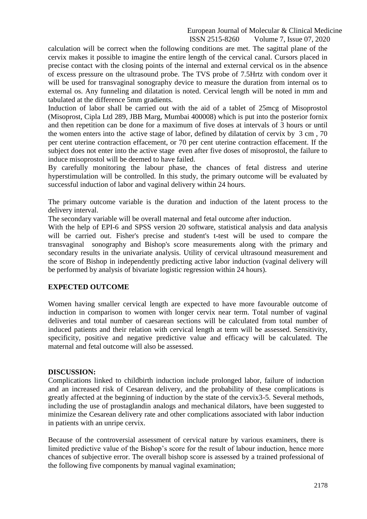#### European Journal of Molecular & Clinical Medicine ISSN 2515-8260 Volume 7, Issue 07, 2020

calculation will be correct when the following conditions are met. The sagittal plane of the cervix makes it possible to imagine the entire length of the cervical canal. Cursors placed in precise contact with the closing points of the internal and external cervical os in the absence of excess pressure on the ultrasound probe. The TVS probe of 7.5Hrtz with condom over it will be used for transvaginal sonography device to measure the duration from internal os to external os. Any funneling and dilatation is noted. Cervical length will be noted in mm and tabulated at the difference 5mm gradients.

Induction of labor shall be carried out with the aid of a tablet of 25mcg of Misoprostol (Misoprost, Cipla Ltd 289, JBB Marg, Mumbai 400008) which is put into the posterior fornix and then repetition can be done for a maximum of five doses at intervals of 3 hours or until the women enters into the active stage of labor, defined by dilatation of cervix by 3 cm , 70 per cent uterine contraction effacement, or 70 per cent uterine contraction effacement. If the subject does not enter into the active stage even after five doses of misoprostol, the failure to induce misoprostol will be deemed to have failed.

By carefully monitoring the labour phase, the chances of fetal distress and uterine hyperstimulation will be controlled. In this study, the primary outcome will be evaluated by successful induction of labor and vaginal delivery within 24 hours.

The primary outcome variable is the duration and induction of the latent process to the delivery interval.

The secondary variable will be overall maternal and fetal outcome after induction.

With the help of EPI-6 and SPSS version 20 software, statistical analysis and data analysis will be carried out. Fisher's precise and student's t-test will be used to compare the transvaginal sonography and Bishop's score measurements along with the primary and secondary results in the univariate analysis. Utility of cervical ultrasound measurement and the score of Bishop in independently predicting active labor induction (vaginal delivery will be performed by analysis of bivariate logistic regression within 24 hours).

## **EXPECTED OUTCOME**

Women having smaller cervical length are expected to have more favourable outcome of induction in comparison to women with longer cervix near term. Total number of vaginal deliveries and total number of caesarean sections will be calculated from total number of induced patients and their relation with cervical length at term will be assessed. Sensitivity, specificity, positive and negative predictive value and efficacy will be calculated. The maternal and fetal outcome will also be assessed.

#### **DISCUSSION:**

Complications linked to childbirth induction include prolonged labor, failure of induction and an increased risk of Cesarean delivery, and the probability of these complications is greatly affected at the beginning of induction by the state of the cervix3-5. Several methods, including the use of prostaglandin analogs and mechanical dilators, have been suggested to minimize the Cesarean delivery rate and other complications associated with labor induction in patients with an unripe cervix.

Because of the controversial assessment of cervical nature by various examiners, there is limited predictive value of the Bishop's score for the result of labour induction, hence more chances of subjective error. The overall bishop score is assessed by a trained professional of the following five components by manual vaginal examination;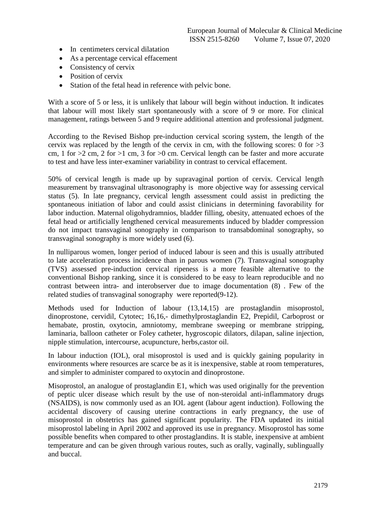- In centimeters cervical dilatation
- As a percentage cervical effacement
- Consistency of cervix
- Position of cervix
- Station of the fetal head in reference with pelvic bone.

With a score of 5 or less, it is unlikely that labour will begin without induction. It indicates that labour will most likely start spontaneously with a score of 9 or more. For clinical management, ratings between 5 and 9 require additional attention and professional judgment.

According to the Revised Bishop pre-induction cervical scoring system, the length of the cervix was replaced by the length of the cervix in cm, with the following scores: 0 for  $>3$ cm, 1 for  $>2$  cm, 2 for  $>1$  cm, 3 for  $>0$  cm. Cervical length can be faster and more accurate to test and have less inter-examiner variability in contrast to cervical effacement.

50% of cervical length is made up by supravaginal portion of cervix. Cervical length measurement by transvaginal ultrasonography is more objective way for assessing cervical status (5). In late pregnancy, cervical length assessment could assist in predicting the spontaneous initiation of labor and could assist clinicians in determining favorability for labor induction. Maternal oligohydramnios, bladder filling, obesity, attenuated echoes of the fetal head or artificially lengthened cervical measurements induced by bladder compression do not impact transvaginal sonography in comparison to transabdominal sonography, so transvaginal sonography is more widely used (6).

In nulliparous women, longer period of induced labour is seen and this is usually attributed to late acceleration process incidence than in parous women (7). Transvaginal sonography (TVS) assessed pre-induction cervical ripeness is a more feasible alternative to the conventional Bishop ranking, since it is considered to be easy to learn reproducible and no contrast between intra- and interobserver due to image documentation (8) . Few of the related studies of transvaginal sonography were reported(9-12).

Methods used for Induction of labour (13,14,15) are prostaglandin misoprostol, dinoprostone, cervidil, Cytotec; 16,16,- dimethylprostaglandin E2, Prepidil, Carboprost or hemabate, prostin, oxytocin, amniotomy, membrane sweeping or membrane stripping, laminaria, balloon catheter or Foley catheter, hygroscopic dilators, dilapan, saline injection, nipple stimulation, intercourse, acupuncture, herbs,castor oil.

In labour induction (IOL), oral misoprostol is used and is quickly gaining popularity in environments where resources are scarce be as it is inexpensive, stable at room temperatures, and simpler to administer compared to oxytocin and dinoprostone.

Misoprostol, an analogue of prostaglandin E1, which was used originally for the prevention of peptic ulcer disease which result by the use of non-steroidal anti-inflammatory drugs (NSAIDS), is now commonly used as an IOL agent (labour agent induction). Following the accidental discovery of causing uterine contractions in early pregnancy, the use of misoprostol in obstetrics has gained significant popularity. The FDA updated its initial misoprostol labeling in April 2002 and approved its use in pregnancy. Misoprostol has some possible benefits when compared to other prostaglandins. It is stable, inexpensive at ambient temperature and can be given through various routes, such as orally, vaginally, sublingually and buccal.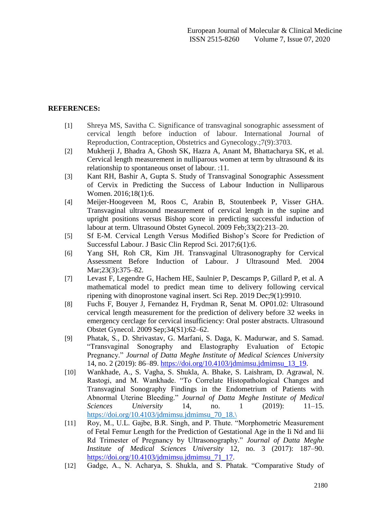## **REFERENCES:**

- [1] Shreya MS, Savitha C. Significance of transvaginal sonographic assessment of cervical length before induction of labour. International Journal of Reproduction, Contraception, Obstetrics and Gynecology.;7(9):3703.
- [2] Mukherji J, Bhadra A, Ghosh SK, Hazra A, Anant M, Bhattacharya SK, et al. Cervical length measurement in nulliparous women at term by ultrasound  $\&$  its relationship to spontaneous onset of labour. :11.
- [3] Kant RH, Bashir A, Gupta S. Study of Transvaginal Sonographic Assessment of Cervix in Predicting the Success of Labour Induction in Nulliparous Women. 2016:18(1):6.
- [4] Meijer-Hoogeveen M, Roos C, Arabin B, Stoutenbeek P, Visser GHA. Transvaginal ultrasound measurement of cervical length in the supine and upright positions versus Bishop score in predicting successful induction of labour at term. Ultrasound Obstet Gynecol. 2009 Feb;33(2):213–20.
- [5] Sf E-M. Cervical Length Versus Modified Bishop's Score for Prediction of Successful Labour. J Basic Clin Reprod Sci. 2017;6(1):6.
- [6] Yang SH, Roh CR, Kim JH. Transvaginal Ultrasonography for Cervical Assessment Before Induction of Labour. J Ultrasound Med. 2004 Mar:23(3):375–82.
- [7] Levast F, Legendre G, Hachem HE, Saulnier P, Descamps P, Gillard P, et al. A mathematical model to predict mean time to delivery following cervical ripening with dinoprostone vaginal insert. Sci Rep. 2019 Dec;9(1):9910.
- [8] Fuchs F, Bouyer J, Fernandez H, Frydman R, Senat M. OP01.02: Ultrasound cervical length measurement for the prediction of delivery before 32 weeks in emergency cerclage for cervical insufficiency: Oral poster abstracts. Ultrasound Obstet Gynecol. 2009 Sep;34(S1):62–62.
- [9] Phatak, S., D. Shrivastav, G. Marfani, S. Daga, K. Madurwar, and S. Samad. "Transvaginal Sonography and Elastography Evaluation of Ectopic Pregnancy." *Journal of Datta Meghe Institute of Medical Sciences University* 14, no. 2 (2019): 86–89. [https://doi.org/10.4103/jdmimsu.jdmimsu\\_13\\_19.](https://doi.org/10.4103/jdmimsu.jdmimsu_13_19)
- [10] Wankhade, A., S. Vagha, S. Shukla, A. Bhake, S. Laishram, D. Agrawal, N. Rastogi, and M. Wankhade. "To Correlate Histopathological Changes and Transvaginal Sonography Findings in the Endometrium of Patients with Abnormal Uterine Bleeding." *Journal of Datta Meghe Institute of Medical Sciences University* 14, no. 1 (2019): 11–15. [https://doi.org/10.4103/jdmimsu.jdmimsu\\_70\\_18.\](https://doi.org/10.4103/jdmimsu.jdmimsu_70_18./)
- [11] Roy, M., U.L. Gajbe, B.R. Singh, and P. Thute. "Morphometric Measurement of Fetal Femur Length for the Prediction of Gestational Age in the Ii Nd and Iii Rd Trimester of Pregnancy by Ultrasonography." *Journal of Datta Meghe Institute of Medical Sciences University* 12, no. 3 (2017): 187–90. [https://doi.org/10.4103/jdmimsu.jdmimsu\\_71\\_17.](https://doi.org/10.4103/jdmimsu.jdmimsu_71_17)
- [12] Gadge, A., N. Acharya, S. Shukla, and S. Phatak. "Comparative Study of